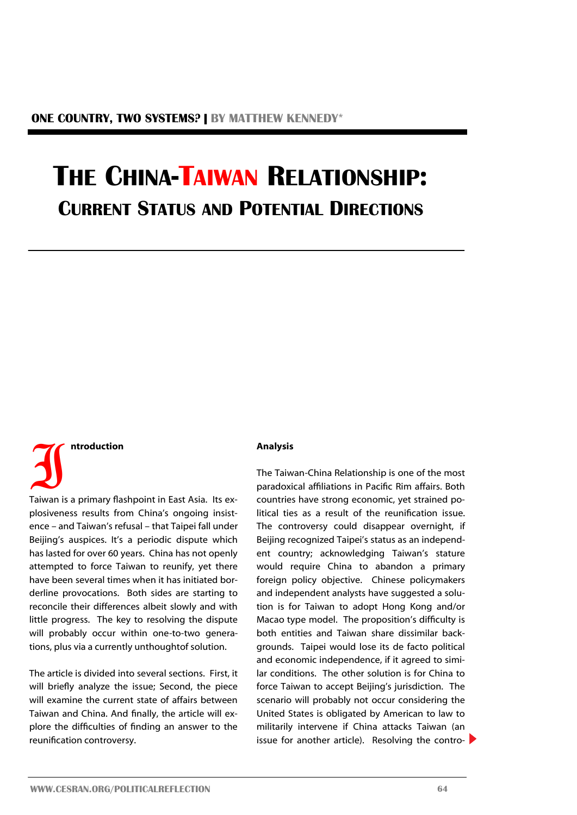## **THE CHINA-TAIWAN RELATIONSHIP: CURRENT STATUS AND POTENTIAL DIRECTIONS**

# $\overline{\mathbf{J}}$ **ntroduction**

Taiwan is a primary flashpoint in East Asia. Its explosiveness results from China's ongoing insistence – and Taiwan's refusal – that Taipei fall under Beijing's auspices. It's a periodic dispute which has lasted for over 60 years. China has not openly attempted to force Taiwan to reunify, yet there have been several times when it has initiated borderline provocations. Both sides are starting to reconcile their differences albeit slowly and with little progress. The key to resolving the dispute will probably occur within one-to-two generations, plus via a currently unthoughtof solution.

The article is divided into several sections. First, it will briefly analyze the issue; Second, the piece will examine the current state of affairs between Taiwan and China. And finally, the article will explore the difficulties of finding an answer to the reunification controversy.

#### **Analysis**

The Taiwan-China Relationship is one of the most paradoxical affiliations in Pacific Rim affairs. Both countries have strong economic, yet strained political ties as a result of the reunification issue. The controversy could disappear overnight, if Beijing recognized Taipei's status as an independent country; acknowledging Taiwan's stature would require China to abandon a primary foreign policy objective. Chinese policymakers and independent analysts have suggested a solution is for Taiwan to adopt Hong Kong and/or Macao type model. The proposition's difficulty is both entities and Taiwan share dissimilar backgrounds. Taipei would lose its de facto political and economic independence, if it agreed to similar conditions. The other solution is for China to force Taiwan to accept Beijing's jurisdiction. The scenario will probably not occur considering the United States is obligated by American to law to militarily intervene if China attacks Taiwan (an issue for another article). Resolving the contro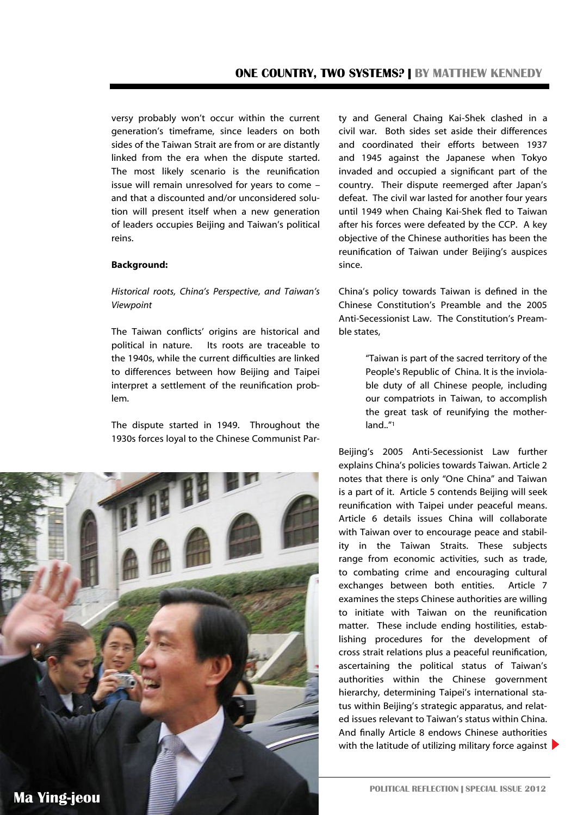versy probably won't occur within the current generation's timeframe, since leaders on both sides of the Taiwan Strait are from or are distantly linked from the era when the dispute started. The most likely scenario is the reunification issue will remain unresolved for years to come – and that a discounted and/or unconsidered solution will present itself when a new generation of leaders occupies Beijing and Taiwan's political reins.

#### **Background:**

*Historical roots, China's Perspective, and Taiwan's Viewpoint* 

The Taiwan conflicts' origins are historical and political in nature. Its roots are traceable to the 1940s, while the current difficulties are linked to differences between how Beijing and Taipei interpret a settlement of the reunification problem.

The dispute started in 1949. Throughout the 1930s forces loyal to the Chinese Communist Par-



ty and General Chaing Kai-Shek clashed in a civil war. Both sides set aside their differences and coordinated their efforts between 1937 and 1945 against the Japanese when Tokyo invaded and occupied a significant part of the country. Their dispute reemerged after Japan's defeat. The civil war lasted for another four years until 1949 when Chaing Kai-Shek fled to Taiwan after his forces were defeated by the CCP. A key objective of the Chinese authorities has been the reunification of Taiwan under Beijing's auspices since.

China's policy towards Taiwan is defined in the Chinese Constitution's Preamble and the 2005 Anti-Secessionist Law. The Constitution's Preamble states,

> "Taiwan is part of the sacred territory of the People's Republic of China. It is the inviolable duty of all Chinese people, including our compatriots in Taiwan, to accomplish the great task of reunifying the motherland.."<sup>1</sup>

Beijing's 2005 Anti-Secessionist Law further explains China's policies towards Taiwan. Article 2 notes that there is only "One China" and Taiwan is a part of it. Article 5 contends Beijing will seek reunification with Taipei under peaceful means. Article 6 details issues China will collaborate with Taiwan over to encourage peace and stability in the Taiwan Straits. These subjects range from economic activities, such as trade, to combating crime and encouraging cultural exchanges between both entities. Article 7 examines the steps Chinese authorities are willing to initiate with Taiwan on the reunification matter. These include ending hostilities, establishing procedures for the development of cross strait relations plus a peaceful reunification, ascertaining the political status of Taiwan's authorities within the Chinese government hierarchy, determining Taipei's international status within Beijing's strategic apparatus, and related issues relevant to Taiwan's status within China. And finally Article 8 endows Chinese authorities with the latitude of utilizing military force against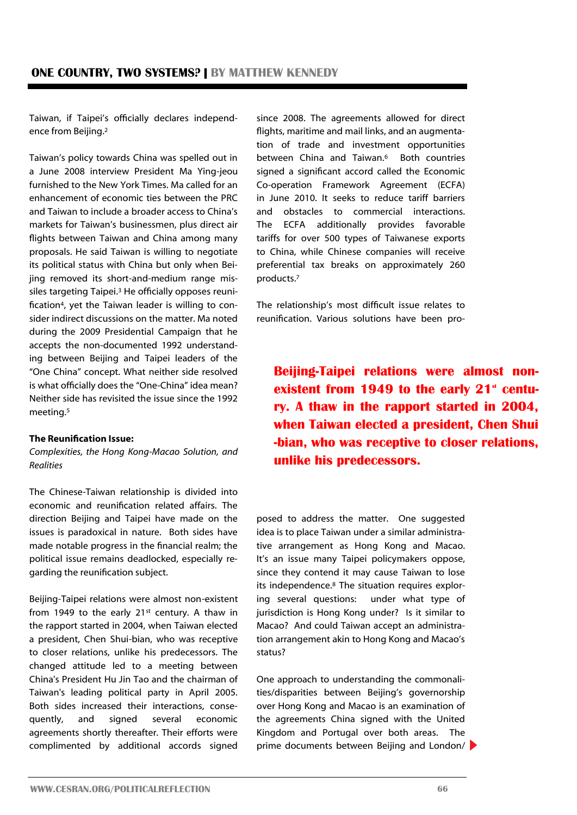Taiwan, if Taipei's officially declares independence from Beijing.<sup>2</sup>

Taiwan's policy towards China was spelled out in a June 2008 interview President [Ma Ying](http://topics.nytimes.com/top/reference/timestopics/people/m/ma_yingjeou/index.html?inline=nyt-per)-jeou furnished to the New York Times. Ma called for an enhancement of economic ties between the PRC and Taiwan to include a broader access to China's markets for Taiwan's businessmen, plus direct air flights between Taiwan and China among many proposals. He said Taiwan is willing to negotiate its political status with China but only when Beijing removed its short-and-medium range missiles targeting Taipei.<sup>3</sup> He officially opposes reunification<sup>4</sup>, yet the Taiwan leader is willing to consider indirect discussions on the matter. Ma noted during the 2009 Presidential Campaign that he accepts the non-documented 1992 understanding between Beijing and Taipei leaders of the "One China" concept. What neither side resolved is what officially does the "One-China" idea mean? Neither side has revisited the issue since the 1992 meeting.<sup>5</sup>

#### **The Reunification Issue:**

*Complexities, the Hong Kong-Macao Solution, and Realities*

The Chinese-Taiwan relationship is divided into economic and reunification related affairs. The direction Beijing and Taipei have made on the issues is paradoxical in nature. Both sides have made notable progress in the financial realm; the political issue remains deadlocked, especially regarding the reunification subject.

Beijing-Taipei relations were almost non-existent from 1949 to the early  $21^{st}$  century. A thaw in the rapport started in 2004, when Taiwan elected a president, [Chen Shui](http://en.wikipedia.org/wiki/Chen_Shui-bian)-bian, who was receptive to closer relations, unlike his predecessors. The changed attitude led to a meeting between China's President Hu Jin Tao and the chairman of Taiwan's leading political party in April 2005. Both sides increased their interactions, consequently, and signed several economic agreements shortly thereafter. Their efforts were complimented by additional accords signed

since 2008. The agreements allowed for direct flights, maritime and mail links, and an augmentation of trade and investment opportunities between China and Taiwan.<sup>6</sup> Both countries signed a significant accord called the Economic Co-operation Framework Agreement (ECFA) in June 2010. It seeks to reduce tariff barriers and obstacles to commercial interactions. The ECFA additionally provides favorable tariffs for over 500 types of Taiwanese exports to China, while Chinese companies will receive preferential tax breaks on approximately 260 products.<sup>7</sup>

The relationship's most difficult issue relates to reunification. Various solutions have been pro-

**Beijing-Taipei relations were almost nonexistent from 1949 to the early 21<sup>st</sup> century. A thaw in the rapport started in 2004, when Taiwan elected a president, [Chen Shui](http://en.wikipedia.org/wiki/Chen_Shui-bian) [-bian,](http://en.wikipedia.org/wiki/Chen_Shui-bian) who was receptive to closer relations, unlike his predecessors.**

posed to address the matter. One suggested idea is to place Taiwan under a similar administrative arrangement as Hong Kong and Macao. It's an issue many Taipei policymakers oppose, since they contend it may cause Taiwan to lose its independence.<sup>8</sup> The situation requires exploring several questions: under what type of jurisdiction is Hong Kong under? Is it similar to Macao? And could Taiwan accept an administration arrangement akin to Hong Kong and Macao's status?

One approach to understanding the commonalities/disparities between Beijing's governorship over Hong Kong and Macao is an examination of the agreements China signed with the United Kingdom and Portugal over both areas. The prime documents between Beijing and London/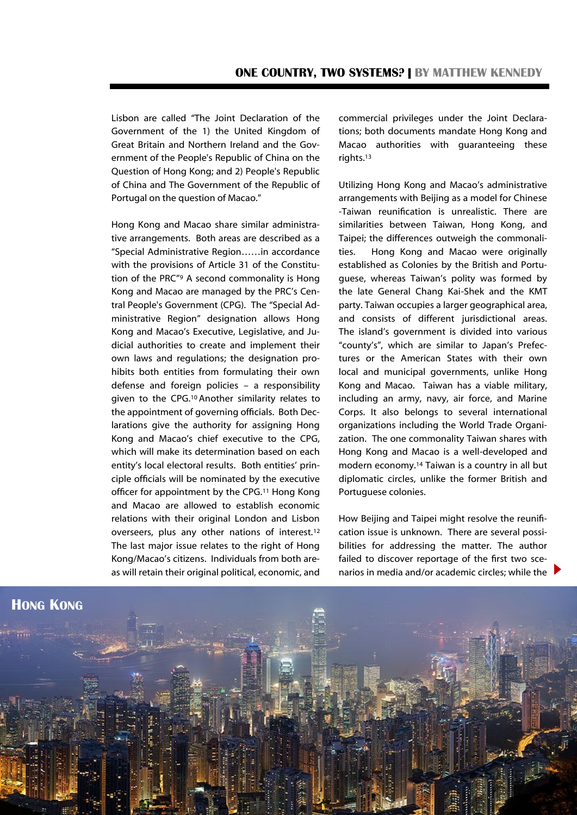Lisbon are called "The Joint Declaration of the Government of the 1) the United Kingdom of Great Britain and Northern Ireland and the Government of the People's Republic of China on the Question of Hong Kong; and 2) People's Republic of China and The Government of the Republic of Portugal on the question of Macao."

Hong Kong and Macao share similar administrative arrangements. Both areas are described as a "Special Administrative Region……in accordance with the provisions of Article 31 of the Constitution of the PRC"<sup>9</sup> A second commonality is Hong Kong and Macao are managed by the PRC's Central People's Government (CPG). The "Special Administrative Region" designation allows Hong Kong and Macao's Executive, Legislative, and Judicial authorities to create and implement their own laws and regulations; the designation prohibits both entities from formulating their own defense and foreign policies – a responsibility given to the CPG.10 Another similarity relates to the appointment of governing officials. Both Declarations give the authority for assigning Hong Kong and Macao's chief executive to the CPG, which will make its determination based on each entity's local electoral results. Both entities' principle officials will be nominated by the executive officer for appointment by the CPG.<sup>11</sup> Hong Kong and Macao are allowed to establish economic relations with their original London and Lisbon overseers, plus any other nations of interest.<sup>12</sup> The last major issue relates to the right of Hong Kong/Macao's citizens. Individuals from both areas will retain their original political, economic, and

commercial privileges under the Joint Declarations; both documents mandate Hong Kong and Macao authorities with guaranteeing these rights.<sup>13</sup>

Utilizing Hong Kong and Macao's administrative arrangements with Beijing as a model for Chinese -Taiwan reunification is unrealistic. There are similarities between Taiwan, Hong Kong, and Taipei; the differences outweigh the commonalities. Hong Kong and Macao were originally established as Colonies by the British and Portuguese, whereas Taiwan's polity was formed by the late General Chang Kai-Shek and the KMT party. Taiwan occupies a larger geographical area, and consists of different jurisdictional areas. The island's government is divided into various "county's", which are similar to Japan's Prefectures or the American States with their own local and municipal governments, unlike Hong Kong and Macao. Taiwan has a viable military, including an army, navy, air force, and Marine Corps. It also belongs to several international organizations including the World Trade Organization. The one commonality Taiwan shares with Hong Kong and Macao is a well-developed and modern economy.<sup>14</sup> Taiwan is a country in all but diplomatic circles, unlike the former British and Portuguese colonies.

How Beijing and Taipei might resolve the reunification issue is unknown. There are several possibilities for addressing the matter. The author failed to discover reportage of the first two scenarios in media and/or academic circles; while the

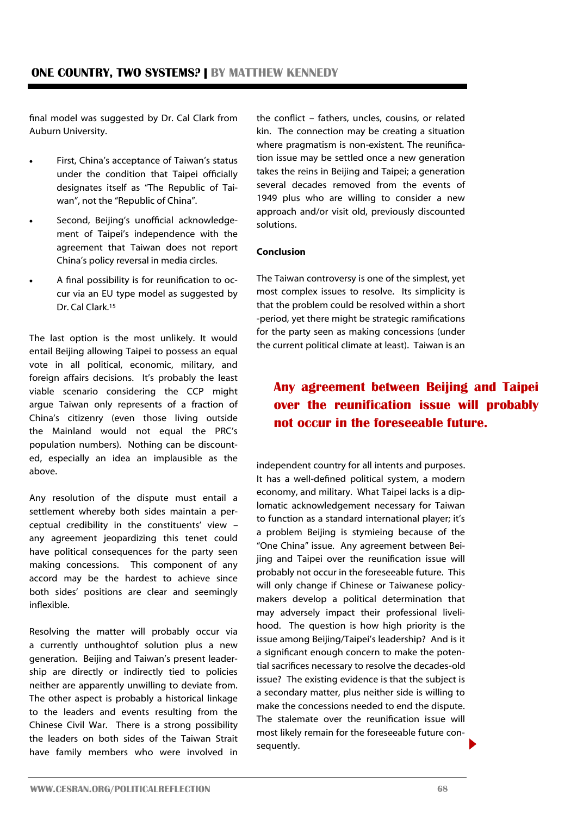final model was suggested by Dr. Cal Clark from Auburn University.

- First, China's acceptance of Taiwan's status under the condition that Taipei officially designates itself as "The Republic of Taiwan", not the "Republic of China".
- Second, Beijing's unofficial acknowledgement of Taipei's independence with the agreement that Taiwan does not report China's policy reversal in media circles.
- A final possibility is for reunification to occur via an EU type model as suggested by Dr. Cal Clark.<sup>15</sup>

The last option is the most unlikely. It would entail Beijing allowing Taipei to possess an equal vote in all political, economic, military, and foreign affairs decisions. It's probably the least viable scenario considering the CCP might argue Taiwan only represents of a fraction of China's citizenry (even those living outside the Mainland would not equal the PRC's population numbers). Nothing can be discounted, especially an idea an implausible as the above.

Any resolution of the dispute must entail a settlement whereby both sides maintain a perceptual credibility in the constituents' view – any agreement jeopardizing this tenet could have political consequences for the party seen making concessions. This component of any accord may be the hardest to achieve since both sides' positions are clear and seemingly inflexible.

Resolving the matter will probably occur via a currently unthoughtof solution plus a new generation. Beijing and Taiwan's present leadership are directly or indirectly tied to policies neither are apparently unwilling to deviate from. The other aspect is probably a historical linkage to the leaders and events resulting from the Chinese Civil War. There is a strong possibility the leaders on both sides of the Taiwan Strait have family members who were involved in

the conflict – fathers, uncles, cousins, or related kin. The connection may be creating a situation where pragmatism is non-existent. The reunification issue may be settled once a new generation takes the reins in Beijing and Taipei; a generation several decades removed from the events of 1949 plus who are willing to consider a new approach and/or visit old, previously discounted solutions.

#### **Conclusion**

The Taiwan controversy is one of the simplest, yet most complex issues to resolve. Its simplicity is that the problem could be resolved within a short -period, yet there might be strategic ramifications for the party seen as making concessions (under the current political climate at least). Taiwan is an

### **Any agreement between Beijing and Taipei over the reunification issue will probably not occur in the foreseeable future.**

independent country for all intents and purposes. It has a well-defined political system, a modern economy, and military. What Taipei lacks is a diplomatic acknowledgement necessary for Taiwan to function as a standard international player; it's a problem Beijing is stymieing because of the "One China" issue. Any agreement between Beijing and Taipei over the reunification issue will probably not occur in the foreseeable future. This will only change if Chinese or Taiwanese policymakers develop a political determination that may adversely impact their professional livelihood. The question is how high priority is the issue among Beijing/Taipei's leadership? And is it a significant enough concern to make the potential sacrifices necessary to resolve the decades-old issue? The existing evidence is that the subject is a secondary matter, plus neither side is willing to make the concessions needed to end the dispute. The stalemate over the reunification issue will most likely remain for the foreseeable future consequently.